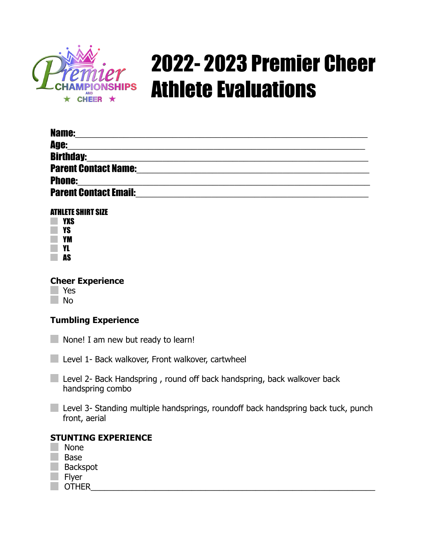

# 2022- 2023 Premier Cheer **MPIONSHIPS Athlete Evaluations**

| <b>Name:</b>                                                                                                                              |  |
|-------------------------------------------------------------------------------------------------------------------------------------------|--|
| <b>Age:</b><br><u> 2000 - Jan James James James James James James James James James James James James James James James James J</u>       |  |
| <b>Birthday:</b><br><u> 1980 - Johann Stoff, deutscher Stoff, der Stoff, der Stoff, der Stoff, der Stoff, der Stoff, der Stoff, der S</u> |  |
| <b>Parent Contact Name:</b>                                                                                                               |  |
| <b>Phone:</b>                                                                                                                             |  |
| <b>Parent Contact Email:</b>                                                                                                              |  |

#### ATHLETE SHIRT SIZE

| YXS |
|-----|
| YS  |
| YM  |
| YL  |
| AS  |

# **Cheer Experience**

Yes No

# **Tumbling Experience**

None! I am new but ready to learn! H.

Level 1- Back walkover, Front walkover, cartwheel

**Level 2- Back Handspring, round off back handspring, back walkover back** handspring combo

**Level 3- Standing multiple handsprings, roundoff back handspring back tuck, punch** front, aerial

## **STUNTING EXPERIENCE**

- None Base Backspot
- Flyer
- OTHER\_\_\_\_\_\_\_\_\_\_\_\_\_\_\_\_\_\_\_\_\_\_\_\_\_\_\_\_\_\_\_\_\_\_\_\_\_\_\_\_\_\_\_\_\_\_\_\_\_\_\_\_\_\_\_\_\_\_\_\_\_\_